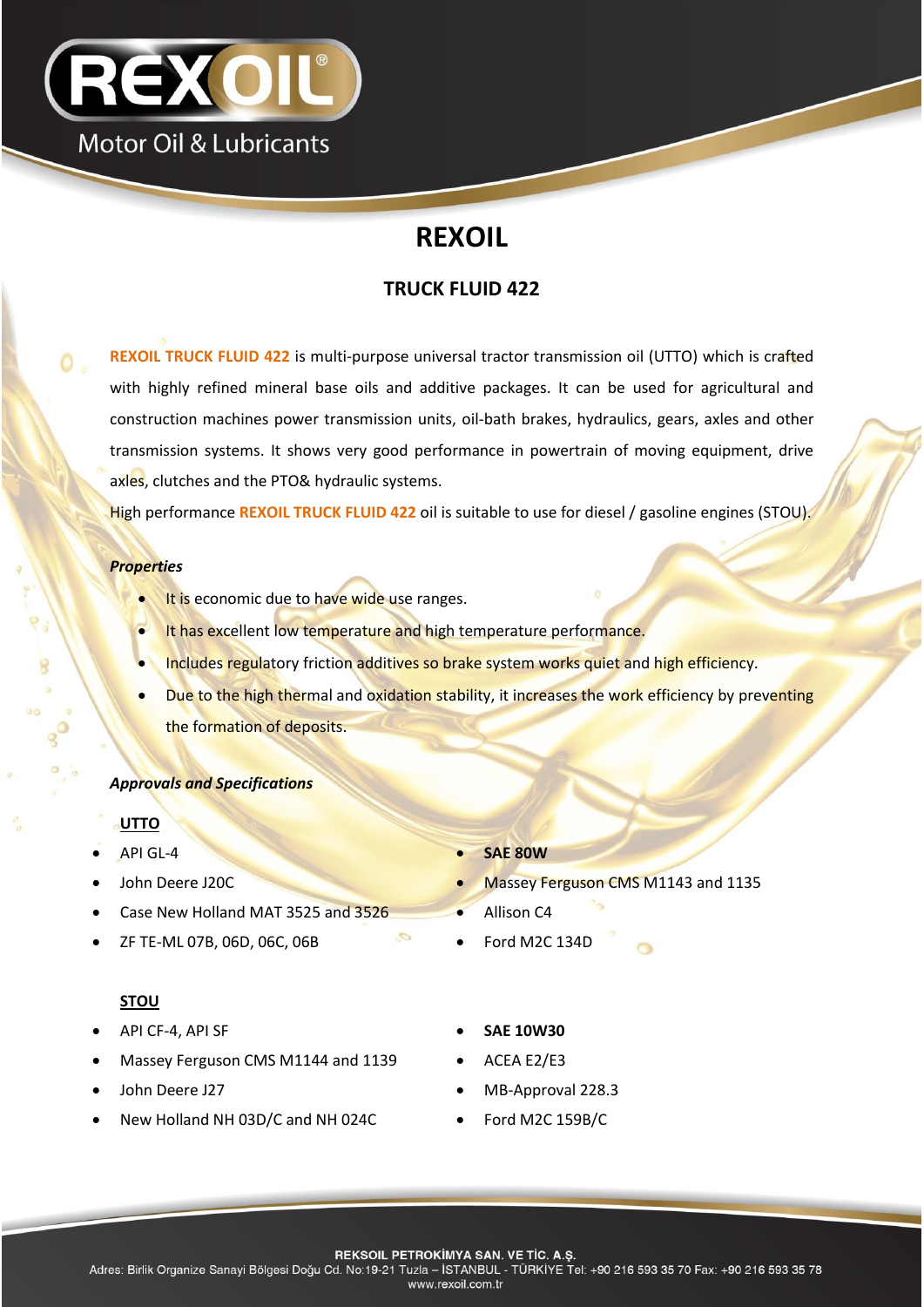

# **REXOIL**

# **TRUCK FLUID 422**

**REXOIL TRUCK FLUID 422** is multi-purpose universal tractor transmission oil (UTTO) which is crafted with highly refined mineral base oils and additive packages. It can be used for agricultural and construction machines power transmission units, oil-bath brakes, hydraulics, gears, axles and other transmission systems. It shows very good performance in powertrain of moving equipment, drive axles, clutches and the PTO& hydraulic systems.

High performance **REXOIL TRUCK FLUID 422** oil is suitable to use for diesel / gasoline engines (STOU).

#### *Properties*

Ο.

- It is economic due to have wide use ranges.
- It has excellent low temperature and high temperature performance.
- Includes regulatory friction additives so brake system works quiet and high efficiency.
- Due to the high thermal and oxidation stability, it increases the work efficiency by preventing the formation of deposits.

#### *Approvals and Specifications*

#### **UTTO**

- 
- 
- Case New Holland MAT 3525 and 3526 **Case New Holland MAT 3525**
- ZF TE-ML 07B, 06D, 06C, 06B **COLLECTION Ford M2C 134D**

## **STOU**

- API CF-4, API SF **SAE 10W30**
- Massey Ferguson CMS M1144 and 1139 ACEA E2/E3
- 
- New Holland NH 03D/C and NH 024C Ford M2C 159B/C
- API GL-4  **SAE 80W**
- John Deere J20C Massey Ferguson CMS M1143 and 1135
	-
	-
	-
	-
- John Deere J27 **MB-Approval 228.3** 
	-
	- **REKSOIL PETROKIMYA SAN. VE TIC. A.S.**

Adres: Birlik Organize Sanayi Bölgesi Doğu Cd. No:19-21 Tuzla - İSTANBUL - TÜRKİYE Tel: +90 216 593 35 70 Fax: +90 216 593 35 78 www.rexoil.com.tr